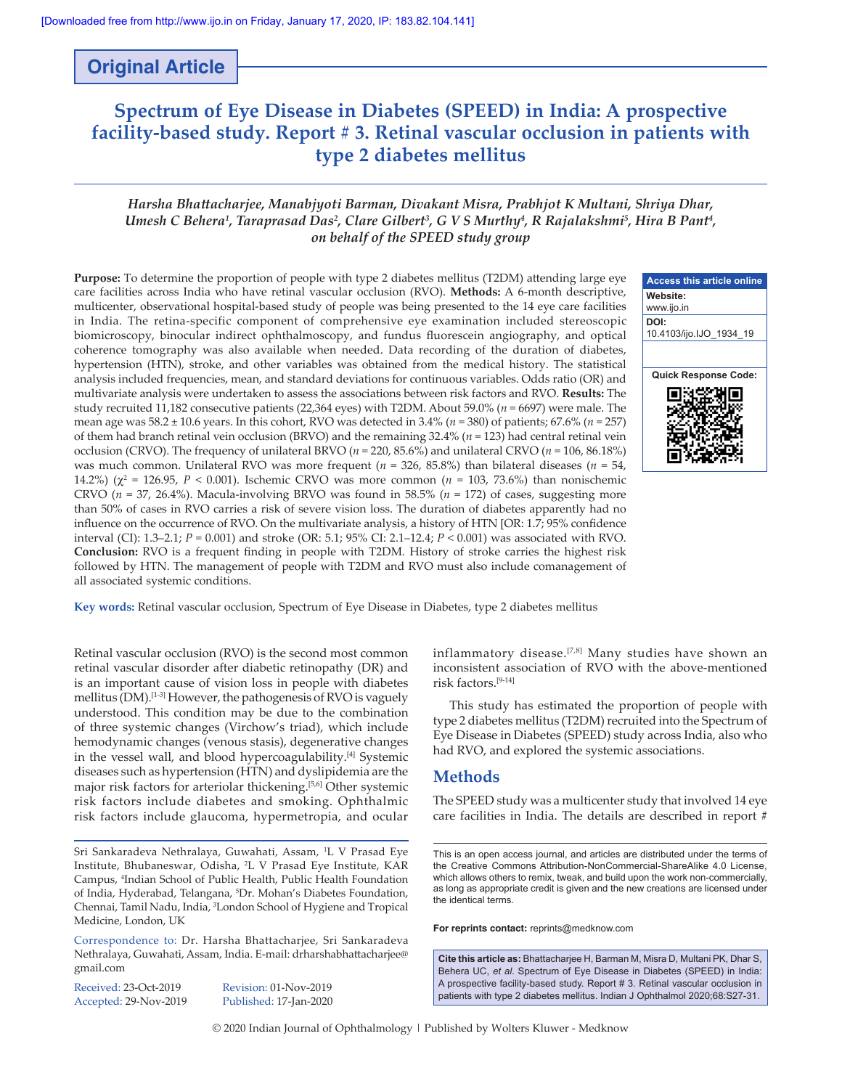## **Original Article**

# **Spectrum of Eye Disease in Diabetes (SPEED) in India: A prospective facility‑based study. Report # 3. Retinal vascular occlusion in patients with type 2 diabetes mellitus**

## *Harsha Bhattacharjee, Manabjyoti Barman, Divakant Misra, Prabhjot K Multani, Shriya Dhar, Umesh C Behera1 , Taraprasad Das2 , Clare Gilbert3 , G V S Murthy4 , R Rajalakshmi5 , Hira B Pant4 , on behalf of the SPEED study group*

**Purpose:** To determine the proportion of people with type 2 diabetes mellitus (T2DM) attending large eye care facilities across India who have retinal vascular occlusion (RVO). **Methods:** A 6‑month descriptive, multicenter, observational hospital-based study of people was being presented to the 14 eye care facilities in India. The retina‑specific component of comprehensive eye examination included stereoscopic biomicroscopy, binocular indirect ophthalmoscopy, and fundus fluorescein angiography, and optical coherence tomography was also available when needed. Data recording of the duration of diabetes, hypertension (HTN), stroke, and other variables was obtained from the medical history. The statistical analysis included frequencies, mean, and standard deviations for continuous variables. Odds ratio (OR) and multivariate analysis were undertaken to assess the associations between risk factors and RVO. **Results:** The study recruited 11,182 consecutive patients (22,364 eyes) with T2DM. About 59.0% (*n* = 6697) were male. The mean age was 58.2 ± 10.6 years. In this cohort, RVO was detected in 3.4% (*n* = 380) of patients; 67.6% (*n* = 257) of them had branch retinal vein occlusion (BRVO) and the remaining 32.4% (*n* = 123) had central retinal vein occlusion (CRVO). The frequency of unilateral BRVO (*n* = 220, 85.6%) and unilateral CRVO (*n* = 106, 86.18%) was much common. Unilateral RVO was more frequent (*n* = 326, 85.8%) than bilateral diseases (*n* = 54, 14.2%) (χ<sup>2</sup> = 126.95, *P* < 0.001). Ischemic CRVO was more common (*n* = 103, 73.6%) than nonischemic CRVO ( $n = 37$ , 26.4%). Macula-involving BRVO was found in 58.5% ( $n = 172$ ) of cases, suggesting more than 50% of cases in RVO carries a risk of severe vision loss. The duration of diabetes apparently had no influence on the occurrence of RVO. On the multivariate analysis, a history of HTN [OR: 1.7; 95% confidence interval (CI): 1.3–2.1; *P* = 0.001) and stroke (OR: 5.1; 95% CI: 2.1–12.4; *P* < 0.001) was associated with RVO. **Conclusion:** RVO is a frequent finding in people with T2DM. History of stroke carries the highest risk followed by HTN. The management of people with T2DM and RVO must also include comanagement of all associated systemic conditions.



**Key words:** Retinal vascular occlusion, Spectrum of Eye Disease in Diabetes, type 2 diabetes mellitus

Retinal vascular occlusion (RVO) is the second most common retinal vascular disorder after diabetic retinopathy (DR) and is an important cause of vision loss in people with diabetes mellitus (DM).<sup>[1-3]</sup> However, the pathogenesis of RVO is vaguely understood. This condition may be due to the combination of three systemic changes (Virchow's triad), which include hemodynamic changes (venous stasis), degenerative changes in the vessel wall, and blood hypercoagulability.[4] Systemic diseases such as hypertension (HTN) and dyslipidemia are the major risk factors for arteriolar thickening.[5,6] Other systemic risk factors include diabetes and smoking. Ophthalmic risk factors include glaucoma, hypermetropia, and ocular

Sri Sankaradeva Nethralaya, Guwahati, Assam, 1 L V Prasad Eye Institute, Bhubaneswar, Odisha, 2 L V Prasad Eye Institute, KAR Campus, 4 Indian School of Public Health, Public Health Foundation of India, Hyderabad, Telangana, 5 Dr. Mohan's Diabetes Foundation, Chennai, Tamil Nadu, India, 3 London School of Hygiene and Tropical Medicine, London, UK

Correspondence to: Dr. Harsha Bhattacharjee, Sri Sankaradeva Nethralaya, Guwahati, Assam, India. E‑mail: drharshabhattacharjee@ gmail.com

Received: 23-Oct-2019 Revision: 01-Nov-2019

Accepted: 29-Nov-2019 Published: 17-Jan-2020

inflammatory disease.[7,8] Many studies have shown an inconsistent association of RVO with the above-mentioned risk factors.[9‑14]

This study has estimated the proportion of people with type 2 diabetes mellitus (T2DM) recruited into the Spectrum of Eye Disease in Diabetes (SPEED) study across India, also who had RVO, and explored the systemic associations.

### **Methods**

The SPEED study was a multicenter study that involved 14 eye care facilities in India. The details are described in report #

**For reprints contact:** reprints@medknow.com

**Cite this article as:** Bhattacharjee H, Barman M, Misra D, Multani PK, Dhar S, Behera UC, *et al*. Spectrum of Eye Disease in Diabetes (SPEED) in India: A prospective facility-based study. Report # 3. Retinal vascular occlusion in patients with type 2 diabetes mellitus. Indian J Ophthalmol 2020;68:S27-31.

© 2020 Indian Journal of Ophthalmology | Published by Wolters Kluwer ‑ Medknow

This is an open access journal, and articles are distributed under the terms of the Creative Commons Attribution‑NonCommercial‑ShareAlike 4.0 License, which allows others to remix, tweak, and build upon the work non-commercially, as long as appropriate credit is given and the new creations are licensed under the identical terms.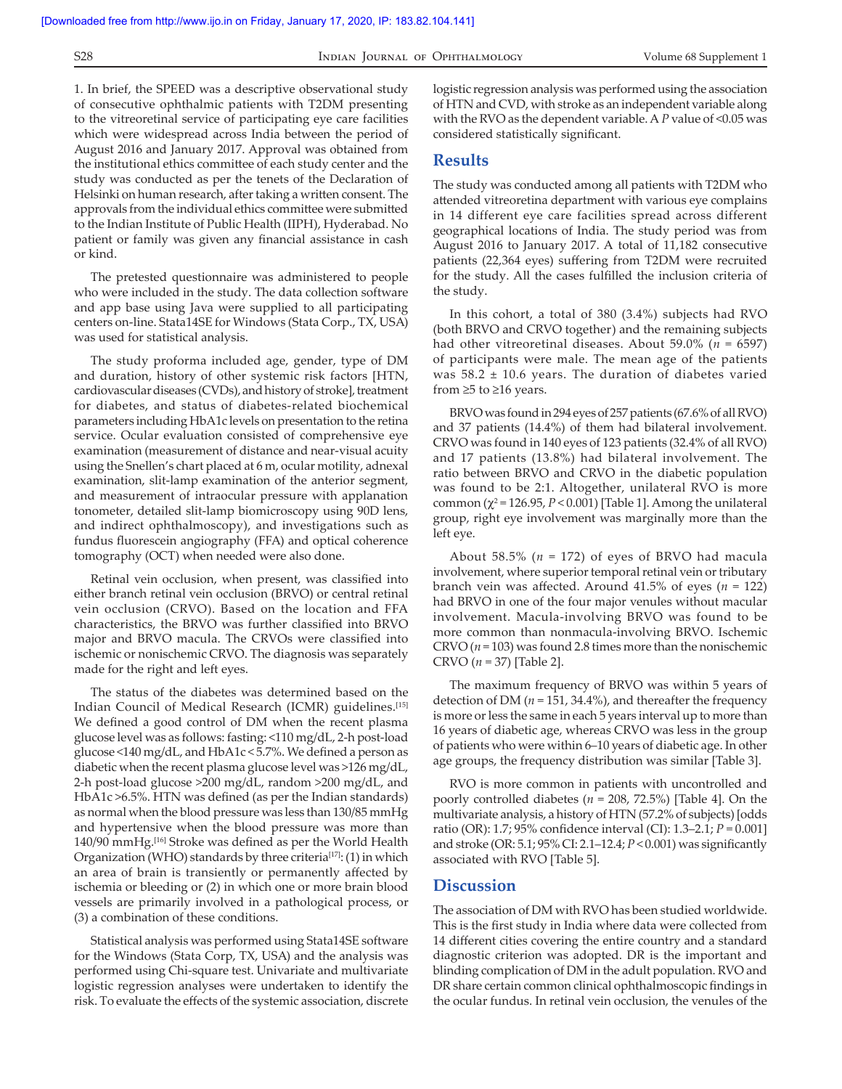1. In brief, the SPEED was a descriptive observational study of consecutive ophthalmic patients with T2DM presenting to the vitreoretinal service of participating eye care facilities which were widespread across India between the period of August 2016 and January 2017. Approval was obtained from the institutional ethics committee of each study center and the study was conducted as per the tenets of the Declaration of Helsinki on human research, after taking a written consent. The approvals from the individual ethics committee were submitted to the Indian Institute of Public Health (IIPH), Hyderabad. No patient or family was given any financial assistance in cash or kind.

The pretested questionnaire was administered to people who were included in the study. The data collection software and app base using Java were supplied to all participating centers on‑line. Stata14SE for Windows (Stata Corp., TX, USA) was used for statistical analysis.

The study proforma included age, gender, type of DM and duration, history of other systemic risk factors [HTN, cardiovascular diseases (CVDs), and history of stroke], treatment for diabetes, and status of diabetes‑related biochemical parameters including HbA1c levels on presentation to the retina service. Ocular evaluation consisted of comprehensive eye examination (measurement of distance and near-visual acuity using the Snellen's chart placed at 6 m, ocular motility, adnexal examination, slit-lamp examination of the anterior segment, and measurement of intraocular pressure with applanation tonometer, detailed slit‑lamp biomicroscopy using 90D lens, and indirect ophthalmoscopy), and investigations such as fundus fluorescein angiography (FFA) and optical coherence tomography (OCT) when needed were also done.

Retinal vein occlusion, when present, was classified into either branch retinal vein occlusion (BRVO) or central retinal vein occlusion (CRVO). Based on the location and FFA characteristics, the BRVO was further classified into BRVO major and BRVO macula. The CRVOs were classified into ischemic or nonischemic CRVO. The diagnosis was separately made for the right and left eyes.

The status of the diabetes was determined based on the Indian Council of Medical Research (ICMR) guidelines.[15] We defined a good control of DM when the recent plasma glucose level was as follows: fasting: <110 mg/dL, 2‑h post‑load glucose <140 mg/dL, and HbA1c < 5.7%. We defined a person as diabetic when the recent plasma glucose level was >126 mg/dL, 2‑h post‑load glucose >200 mg/dL, random >200 mg/dL, and HbA1c >6.5%. HTN was defined (as per the Indian standards) as normal when the blood pressure was less than 130/85 mmHg and hypertensive when the blood pressure was more than 140/90 mmHg.<sup>[16]</sup> Stroke was defined as per the World Health Organization (WHO) standards by three criteria<sup>[17]</sup>: (1) in which an area of brain is transiently or permanently affected by ischemia or bleeding or (2) in which one or more brain blood vessels are primarily involved in a pathological process, or (3) a combination of these conditions.

Statistical analysis was performed using Stata14SE software for the Windows (Stata Corp, TX, USA) and the analysis was performed using Chi‑square test. Univariate and multivariate logistic regression analyses were undertaken to identify the risk. To evaluate the effects of the systemic association, discrete logistic regression analysis was performed using the association of HTN and CVD, with stroke as an independent variable along with the RVO as the dependent variable. A *P* value of <0.05 was considered statistically significant.

#### **Results**

The study was conducted among all patients with T2DM who attended vitreoretina department with various eye complains in 14 different eye care facilities spread across different geographical locations of India. The study period was from August 2016 to January 2017. A total of 11,182 consecutive patients (22,364 eyes) suffering from T2DM were recruited for the study. All the cases fulfilled the inclusion criteria of the study.

In this cohort, a total of 380 (3.4%) subjects had RVO (both BRVO and CRVO together) and the remaining subjects had other vitreoretinal diseases. About 59.0% (*n* = 6597) of participants were male. The mean age of the patients was  $58.2 \pm 10.6$  years. The duration of diabetes varied from  $\geq$ 5 to  $\geq$ 16 years.

BRVO was found in 294 eyes of 257 patients (67.6% of all RVO) and 37 patients (14.4%) of them had bilateral involvement. CRVO was found in 140 eyes of 123 patients (32.4% of all RVO) and 17 patients (13.8%) had bilateral involvement. The ratio between BRVO and CRVO in the diabetic population was found to be 2:1. Altogether, unilateral RVO is more common  $(\chi^2 = 126.95, P < 0.001)$  [Table 1]. Among the unilateral group, right eye involvement was marginally more than the left eye.

About 58.5% (*n* = 172) of eyes of BRVO had macula involvement, where superior temporal retinal vein or tributary branch vein was affected. Around 41.5% of eyes (*n* = 122) had BRVO in one of the four major venules without macular involvement. Macula‑involving BRVO was found to be more common than nonmacula‑involving BRVO. Ischemic CRVO  $(n = 103)$  was found 2.8 times more than the nonischemic CRVO (*n* = 37) [Table 2].

The maximum frequency of BRVO was within 5 years of detection of DM  $(n = 151, 34.4\%)$ , and thereafter the frequency is more or less the same in each 5 years interval up to more than 16 years of diabetic age, whereas CRVO was less in the group of patients who were within 6–10 years of diabetic age. In other age groups, the frequency distribution was similar [Table 3].

RVO is more common in patients with uncontrolled and poorly controlled diabetes (*n* = 208, 72.5%) [Table 4]. On the multivariate analysis, a history of HTN (57.2% of subjects)[odds ratio (OR): 1.7; 95% confidence interval (CI): 1.3–2.1; *P* = 0.001] and stroke (OR: 5.1; 95% CI: 2.1–12.4; *P* < 0.001) was significantly associated with RVO [Table 5].

## **Discussion**

The association of DM with RVO has been studied worldwide. This is the first study in India where data were collected from 14 different cities covering the entire country and a standard diagnostic criterion was adopted. DR is the important and blinding complication of DM in the adult population. RVO and DR share certain common clinical ophthalmoscopic findings in the ocular fundus. In retinal vein occlusion, the venules of the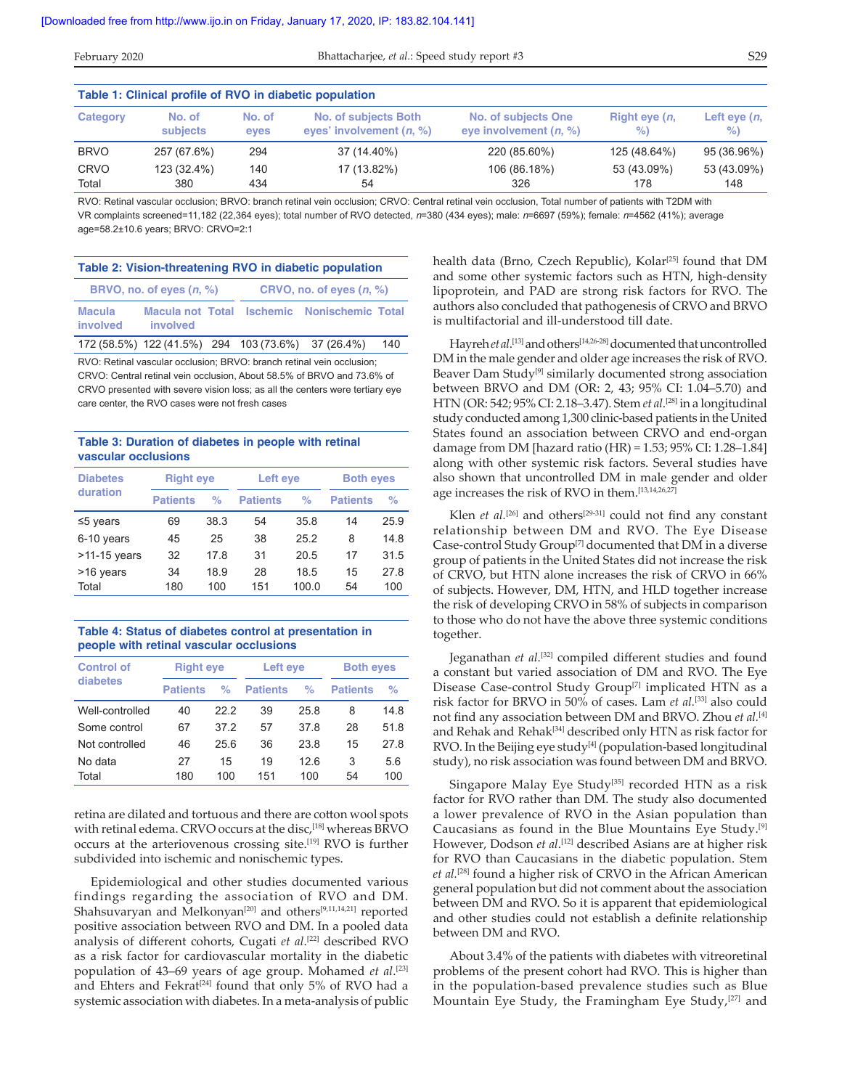| Table 1: Clinical profile of RVO in diabetic population |             |        |                            |                            |                        |                |  |  |  |  |
|---------------------------------------------------------|-------------|--------|----------------------------|----------------------------|------------------------|----------------|--|--|--|--|
| Category                                                | No. of      | No. of | No. of subjects Both       | <b>No. of subjects One</b> | Right eye ( <i>n</i> , | Left eye $(n,$ |  |  |  |  |
|                                                         | subjects    | eves   | eyes' involvement $(n, %)$ | eye involvement $(n, %)$   | $\%$                   | $\%$           |  |  |  |  |
| <b>BRVO</b>                                             | 257 (67.6%) | 294    | 37 (14.40%)                | 220 (85.60%)               | 125 (48.64%)           | 95 (36.96%)    |  |  |  |  |
| <b>CRVO</b>                                             | 123 (32.4%) | 140    | 17 (13.82%)                | 106 (86.18%)               | 53 (43.09%)            | 53 (43.09%)    |  |  |  |  |
| Total                                                   | 380         | 434    | 54                         | 326                        | 178                    | 148            |  |  |  |  |

RVO: Retinal vascular occlusion; BRVO: branch retinal vein occlusion; CRVO: Central retinal vein occlusion, Total number of patients with T2DM with VR complaints screened=11,182 (22,364 eyes); total number of RVO detected, *n*=380 (434 eyes); male: *n*=6697 (59%); female: *n*=4562 (41%); average age=58.2±10.6 years; BRVO: CRVO=2:1

| Table 2: Vision-threatening RVO in diabetic population |                                                    |  |                            |                                             |     |  |  |  |  |
|--------------------------------------------------------|----------------------------------------------------|--|----------------------------|---------------------------------------------|-----|--|--|--|--|
|                                                        | BRVO, no. of eyes $(n, %)$                         |  | CRVO, no. of eyes $(n, %)$ |                                             |     |  |  |  |  |
| Macula<br>involved                                     | involved                                           |  |                            | Macula not Total Ischemic Nonischemic Total |     |  |  |  |  |
|                                                        | 172 (58.5%) 122 (41.5%) 294 103 (73.6%) 37 (26.4%) |  |                            |                                             | 140 |  |  |  |  |

RVO: Retinal vascular occlusion; BRVO: branch retinal vein occlusion; CRVO: Central retinal vein occlusion, About 58.5% of BRVO and 73.6% of CRVO presented with severe vision loss; as all the centers were tertiary eye care center, the RVO cases were not fresh cases

#### **Table 3: Duration of diabetes in people with retinal vascular occlusions**

| <b>Diabetes</b> | <b>Right eye</b> |      | Left eye        |       | <b>Both eyes</b> |      |  |
|-----------------|------------------|------|-----------------|-------|------------------|------|--|
| duration        | <b>Patients</b>  | %    | <b>Patients</b> | %     | <b>Patients</b>  | $\%$ |  |
| $\leq$ 5 years  | 69               | 38.3 |                 | 35.8  | 14               | 25.9 |  |
| 6-10 years      | 45               | 25   | 38              | 25.2  | 8                | 14.8 |  |
| $>11-15$ years  | 32               | 17.8 | 31              | 20.5  | 17               | 31.5 |  |
| >16 years       | 34               | 18.9 | 28              | 18.5  | 15               | 27.8 |  |
| Total           | 180              | 100  | 151             | 100.0 | 54               | 100  |  |

#### **Table 4: Status of diabetes control at presentation in people with retinal vascular occlusions**

| <b>Control of</b> | <b>Right eye</b> |      | Left eye        |      | <b>Both eyes</b> |      |  |
|-------------------|------------------|------|-----------------|------|------------------|------|--|
| diabetes          | <b>Patients</b>  | %    | <b>Patients</b> | %    | <b>Patients</b>  | $\%$ |  |
| Well-controlled   | 40               | 222  | 39              | 25.8 | 8                | 14.8 |  |
| Some control      | 67               | 372  | 57              | 378  | 28               | 51.8 |  |
| Not controlled    | 46               | 25.6 | 36              | 23.8 | 15               | 27.8 |  |
| No data           | 27               | 15   | 19              | 126  | 3                | 5.6  |  |
| Total             | 180              | 100  | 151             | 100  | 54               | 100  |  |

retina are dilated and tortuous and there are cotton wool spots with retinal edema. CRVO occurs at the disc,<sup>[18]</sup> whereas BRVO occurs at the arteriovenous crossing site.[19] RVO is further subdivided into ischemic and nonischemic types.

Epidemiological and other studies documented various findings regarding the association of RVO and DM. Shahsuvaryan and Melkonyan<sup>[20]</sup> and others<sup>[9,11,14,21]</sup> reported positive association between RVO and DM. In a pooled data analysis of different cohorts, Cugati *et al*. [22] described RVO as a risk factor for cardiovascular mortality in the diabetic population of 43–69 years of age group. Mohamed *et al*. [23] and Ehters and Fekrat<sup>[24]</sup> found that only 5% of RVO had a systemic association with diabetes. In a meta-analysis of public

health data (Brno, Czech Republic), Kolar<sup>[25]</sup> found that DM and some other systemic factors such as HTN, high-density lipoprotein, and PAD are strong risk factors for RVO. The authors also concluded that pathogenesis of CRVO and BRVO is multifactorial and ill-understood till date.

Hayreh *et al*. [13] and others[14,26‑28] documented that uncontrolled DM in the male gender and older age increases the risk of RVO. Beaver Dam Study<sup>[9]</sup> similarly documented strong association between BRVO and DM (OR: 2, 43; 95% CI: 1.04–5.70) and HTN (OR: 542; 95% CI: 2.18–3.47). Stem *et al*. [28] in a longitudinal study conducted among 1,300 clinic‑based patients in the United States found an association between CRVO and end‑organ damage from DM [hazard ratio (HR) = 1.53; 95% CI: 1.28–1.84] along with other systemic risk factors. Several studies have also shown that uncontrolled DM in male gender and older age increases the risk of RVO in them.[13,14,26,27]

Klen *et al.*<sup>[26]</sup> and others<sup>[29-31]</sup> could not find any constant relationship between DM and RVO. The Eye Disease Case‑control Study Group[7] documented that DM in a diverse group of patients in the United States did not increase the risk of CRVO, but HTN alone increases the risk of CRVO in 66% of subjects. However, DM, HTN, and HLD together increase the risk of developing CRVO in 58% of subjects in comparison to those who do not have the above three systemic conditions together.

Jeganathan *et al*. [32] compiled different studies and found a constant but varied association of DM and RVO. The Eye Disease Case-control Study Group<sup>[7]</sup> implicated HTN as a risk factor for BRVO in 50% of cases. Lam *et al.*[33] also could not find any association between DM and BRVO. Zhou *et al.*[4] and Rehak and Rehak<sup>[34]</sup> described only HTN as risk factor for  $RVO$ . In the Beijing eye study<sup>[4]</sup> (population-based longitudinal study), no risk association was found between DM and BRVO.

Singapore Malay Eye Study<sup>[35]</sup> recorded HTN as a risk factor for RVO rather than DM. The study also documented a lower prevalence of RVO in the Asian population than Caucasians as found in the Blue Mountains Eye Study.[9] However, Dodson *et al*. [12] described Asians are at higher risk for RVO than Caucasians in the diabetic population. Stem *et al.*[28] found a higher risk of CRVO in the African American general population but did not comment about the association between DM and RVO. So it is apparent that epidemiological and other studies could not establish a definite relationship between DM and RVO.

About 3.4% of the patients with diabetes with vitreoretinal problems of the present cohort had RVO. This is higher than in the population‑based prevalence studies such as Blue Mountain Eye Study, the Framingham Eye Study, $[27]$  and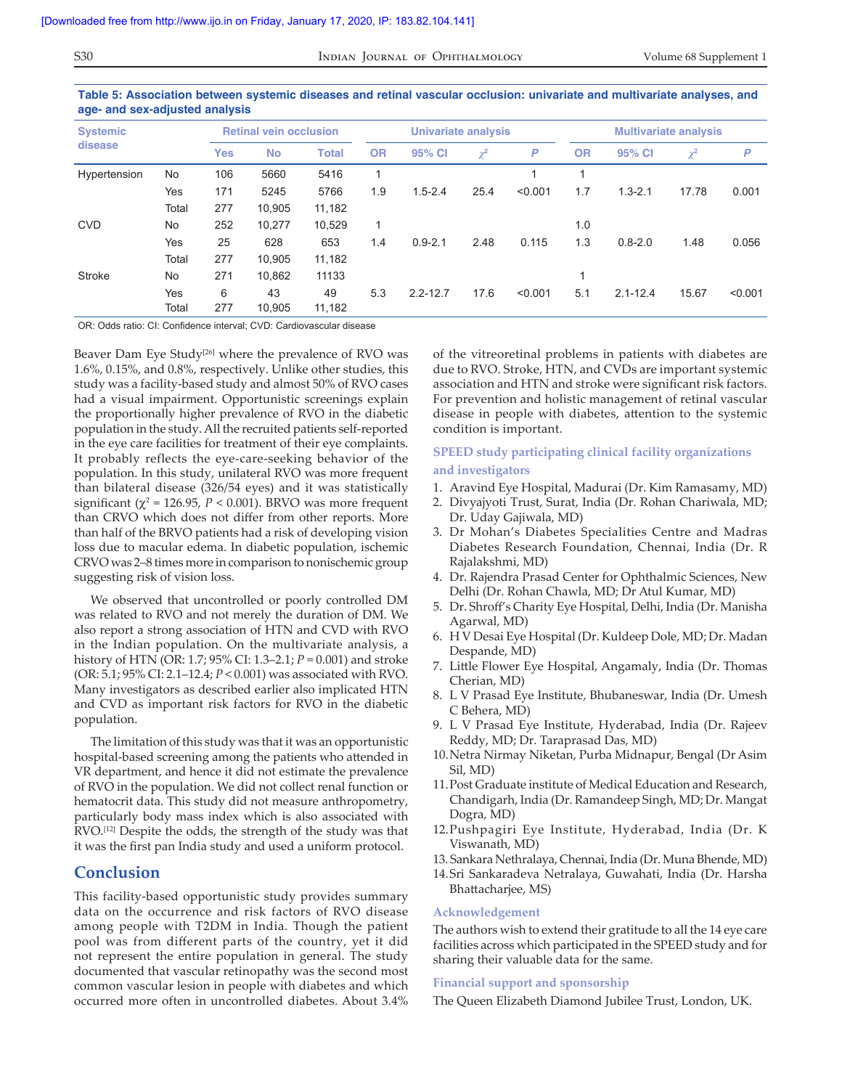**Table 5: Association between systemic diseases and retinal vascular occlusion: univariate and multivariate analyses, and age- and sex-adjusted analysis**

| <b>Systemic</b> |       | <b>Retinal vein occlusion</b> |           |              |           | Univariate analysis |          |         | <b>Multivariate analysis</b> |              |          |         |  |
|-----------------|-------|-------------------------------|-----------|--------------|-----------|---------------------|----------|---------|------------------------------|--------------|----------|---------|--|
| disease         |       | <b>Yes</b>                    | <b>No</b> | <b>Total</b> | <b>OR</b> | 95% CI              | $\chi^2$ | P       | <b>OR</b>                    | 95% CI       | $\chi^2$ | P       |  |
| Hypertension    | No    | 106                           | 5660      | 5416         | 1         |                     |          |         |                              |              |          |         |  |
|                 | Yes   | 171                           | 5245      | 5766         | 1.9       | $1.5 - 2.4$         | 25.4     | < 0.001 | 1.7                          | $1.3 - 2.1$  | 17.78    | 0.001   |  |
|                 | Total | 277                           | 10.905    | 11,182       |           |                     |          |         |                              |              |          |         |  |
| <b>CVD</b>      | No    | 252                           | 10.277    | 10,529       | 1         |                     |          |         | 1.0                          |              |          |         |  |
|                 | Yes   | 25                            | 628       | 653          | 1.4       | $0.9 - 2.1$         | 2.48     | 0.115   | 1.3                          | $0.8 - 2.0$  | 1.48     | 0.056   |  |
|                 | Total | 277                           | 10.905    | 11.182       |           |                     |          |         |                              |              |          |         |  |
| Stroke          | No    | 271                           | 10.862    | 11133        |           |                     |          |         |                              |              |          |         |  |
|                 | Yes   | 6                             | 43        | 49           | 5.3       | $2.2 - 12.7$        | 17.6     | < 0.001 | 5.1                          | $2.1 - 12.4$ | 15.67    | < 0.001 |  |
|                 | Total | 277                           | 10.905    | 11.182       |           |                     |          |         |                              |              |          |         |  |

OR: Odds ratio: CI: Confidence interval; CVD: Cardiovascular disease

Beaver Dam Eye Study<sup>[26]</sup> where the prevalence of RVO was 1.6%, 0.15%, and 0.8%, respectively. Unlike other studies, this study was a facility-based study and almost 50% of RVO cases had a visual impairment. Opportunistic screenings explain the proportionally higher prevalence of RVO in the diabetic population in the study. All the recruited patients self-reported in the eye care facilities for treatment of their eye complaints. It probably reflects the eye-care-seeking behavior of the population. In this study, unilateral RVO was more frequent than bilateral disease (326/54 eyes) and it was statistically significant ( $\chi^2$  = 126.95, *P* < 0.001). BRVO was more frequent than CRVO which does not differ from other reports. More than half of the BRVO patients had a risk of developing vision loss due to macular edema. In diabetic population, ischemic CRVO was 2–8 times more in comparison to nonischemic group suggesting risk of vision loss.

We observed that uncontrolled or poorly controlled DM was related to RVO and not merely the duration of DM. We also report a strong association of HTN and CVD with RVO in the Indian population. On the multivariate analysis, a history of HTN (OR: 1.7; 95% CI: 1.3–2.1; *P* = 0.001) and stroke (OR: 5.1; 95% CI: 2.1–12.4; *P* < 0.001) was associated with RVO. Many investigators as described earlier also implicated HTN and CVD as important risk factors for RVO in the diabetic population.

The limitation of this study was that it was an opportunistic hospital-based screening among the patients who attended in VR department, and hence it did not estimate the prevalence of RVO in the population. We did not collect renal function or hematocrit data. This study did not measure anthropometry, particularly body mass index which is also associated with RVO.[12] Despite the odds, the strength of the study was that it was the first pan India study and used a uniform protocol.

## **Conclusion**

This facility-based opportunistic study provides summary data on the occurrence and risk factors of RVO disease among people with T2DM in India. Though the patient pool was from different parts of the country, yet it did not represent the entire population in general. The study documented that vascular retinopathy was the second most common vascular lesion in people with diabetes and which occurred more often in uncontrolled diabetes. About 3.4% of the vitreoretinal problems in patients with diabetes are due to RVO. Stroke, HTN, and CVDs are important systemic association and HTN and stroke were significant risk factors. For prevention and holistic management of retinal vascular disease in people with diabetes, attention to the systemic condition is important.

## **SPEED study participating clinical facility organizations and investigators**

- 1. Aravind Eye Hospital, Madurai (Dr. Kim Ramasamy, MD)
- 2. Divyajyoti Trust, Surat, India (Dr. Rohan Chariwala, MD; Dr. Uday Gajiwala, MD)
- 3. Dr Mohan's Diabetes Specialities Centre and Madras Diabetes Research Foundation, Chennai, India (Dr. R Rajalakshmi, MD)
- 4. Dr. Rajendra Prasad Center for Ophthalmic Sciences, New Delhi (Dr. Rohan Chawla, MD; Dr Atul Kumar, MD)
- 5. Dr. Shroff's Charity Eye Hospital, Delhi, India (Dr. Manisha Agarwal, MD)
- 6. H V Desai Eye Hospital (Dr. Kuldeep Dole, MD; Dr. Madan Despande, MD)
- 7. Little Flower Eye Hospital, Angamaly, India (Dr. Thomas Cherian, MD)
- 8. L V Prasad Eye Institute, Bhubaneswar, India (Dr. Umesh C Behera, MD)
- 9. L V Prasad Eye Institute, Hyderabad, India (Dr. Rajeev Reddy, MD; Dr. Taraprasad Das, MD)
- 10.Netra Nirmay Niketan, Purba Midnapur, Bengal (Dr Asim Sil, MD)
- 11.Post Graduate institute of Medical Education and Research, Chandigarh, India (Dr. Ramandeep Singh, MD; Dr. Mangat Dogra, MD)
- 12.Pushpagiri Eye Institute, Hyderabad, India (Dr. K Viswanath, MD)
- 13. Sankara Nethralaya, Chennai, India (Dr. Muna Bhende, MD)
- 14.Sri Sankaradeva Netralaya, Guwahati, India (Dr. Harsha Bhattacharjee, MS)

#### **Acknowledgement**

The authors wish to extend their gratitude to all the 14 eye care facilities across which participated in the SPEED study and for sharing their valuable data for the same.

#### **Financial support and sponsorship**

The Queen Elizabeth Diamond Jubilee Trust, London, UK.